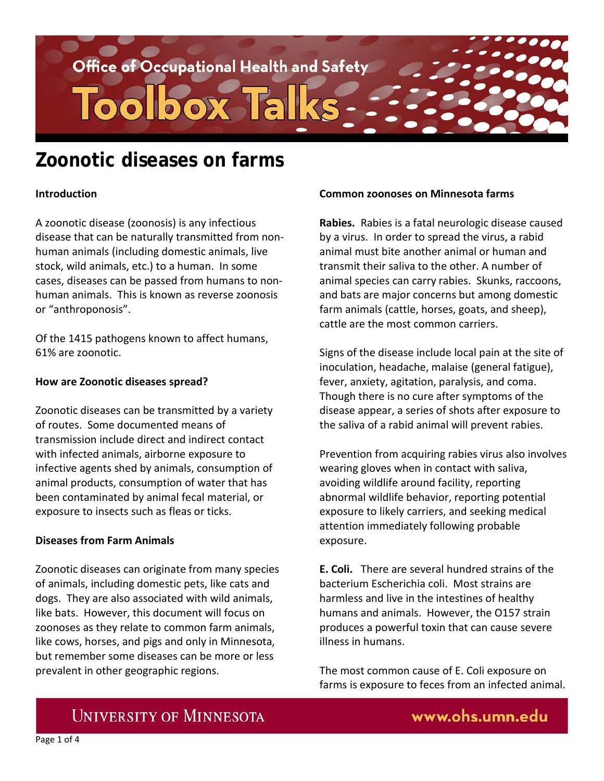

# **Zoonotic diseases on farms**

### **Introduction**

A zoonotic disease (zoonosis) is any infectious disease that can be naturally transmitted from nonhuman animals (including domestic animals, live stock, wild animals, etc.) to a human. In some cases, diseases can be passed from humans to nonhuman animals. This is known as reverse zoonosis or "anthroponosis".

Of the 1415 pathogens known to affect humans, 61% are zoonotic.

### **How are Zoonotic diseases spread?**

Zoonotic diseases can be transmitted by a variety of routes. Some documented means of transmission include direct and indirect contact with infected animals, airborne exposure to infective agents shed by animals, consumption of animal products, consumption of water that has been contaminated by animal fecal material, or exposure to insects such as fleas or ticks.

### **Diseases from Farm Animals**

Zoonotic diseases can originate from many species of animals, including domestic pets, like cats and dogs. They are also associated with wild animals, like bats. However, this document will focus on zoonoses as they relate to common farm animals, like cows, horses, and pigs and only in Minnesota, but remember some diseases can be more or less prevalent in other geographic regions.

### **Common zoonoses on Minnesota farms**

**Rabies.** Rabies is a fatal neurologic disease caused by a virus. In order to spread the virus, a rabid animal must bite another animal or human and transmit their saliva to the other. A number of animal species can carry rabies. Skunks, raccoons, and bats are major concerns but among domestic farm animals (cattle, horses, goats, and sheep), cattle are the most common carriers.

Signs of the disease include local pain at the site of inoculation, headache, malaise (general fatigue), fever, anxiety, agitation, paralysis, and coma. Though there is no cure after symptoms of the disease appear, a series of shots after exposure to the saliva of a rabid animal will prevent rabies.

Prevention from acquiring rabies virus also involves wearing gloves when in contact with saliva, avoiding wildlife around facility, reporting abnormal wildlife behavior, reporting potential exposure to likely carriers, and seeking medical attention immediately following probable exposure.

**E. Coli.** There are several hundred strains of the bacterium Escherichia coli. Most strains are harmless and live in the intestines of healthy humans and animals. However, the O157 strain produces a powerful toxin that can cause severe illness in humans.

The most common cause of E. Coli exposure on farms is exposure to feces from an infected animal.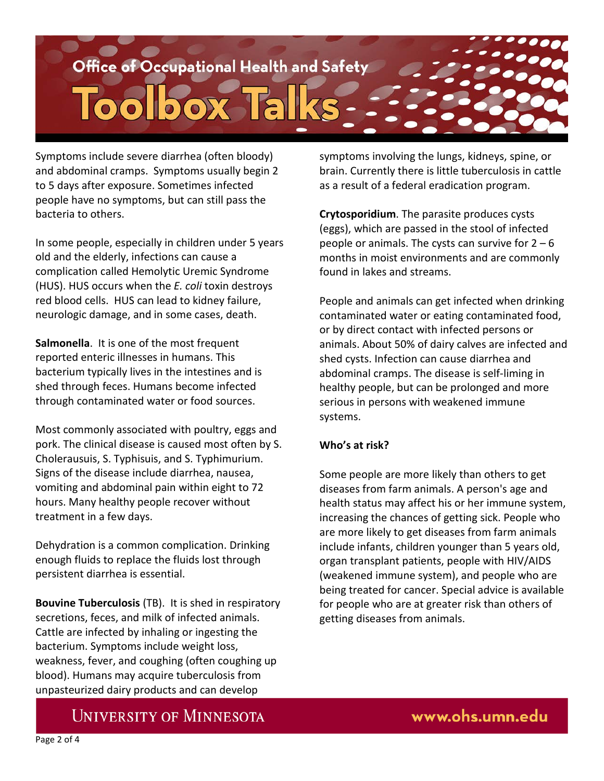

Symptoms include severe diarrhea (often bloody) and abdominal cramps. Symptoms usually begin 2 to 5 days after exposure. Sometimes infected people have no symptoms, but can still pass the bacteria to others.

In some people, especially in children under 5 years old and the elderly, infections can cause a complication called Hemolytic Uremic Syndrome (HUS). HUS occurs when the *E. coli* toxin destroys red blood cells. HUS can lead to kidney failure, neurologic damage, and in some cases, death.

**Salmonella**. It is one of the most frequent reported enteric illnesses in humans. This bacterium typically lives in the intestines and is shed through feces. Humans become infected through contaminated water or food sources.

Most commonly associated with poultry, eggs and pork. The clinical disease is caused most often by S. Cholerausuis, S. Typhisuis, and S. Typhimurium. Signs of the disease include diarrhea, nausea, vomiting and abdominal pain within eight to 72 hours. Many healthy people recover without treatment in a few days.

Dehydration is a common complication. Drinking enough fluids to replace the fluids lost through persistent diarrhea is essential.

**Bouvine Tuberculosis** (TB). It is shed in respiratory secretions, feces, and milk of infected animals. Cattle are infected by inhaling or ingesting the bacterium. Symptoms include weight loss, weakness, fever, and coughing (often coughing up blood). Humans may acquire tuberculosis from unpasteurized dairy products and can develop

symptoms involving the lungs, kidneys, spine, or brain. Currently there is little tuberculosis in cattle as a result of a federal eradication program.

**Crytosporidium**. The parasite produces cysts (eggs), which are passed in the stool of infected people or animals. The cysts can survive for  $2 - 6$ months in moist environments and are commonly found in lakes and streams.

People and animals can get infected when drinking contaminated water or eating contaminated food, or by direct contact with infected persons or animals. About 50% of dairy calves are infected and shed cysts. Infection can cause diarrhea and abdominal cramps. The disease is self-liming in healthy people, but can be prolonged and more serious in persons with weakened immune systems.

### **Who's at risk?**

Some people are more likely than others to get diseases from farm animals. A person's age and health status may affect his or her immune system, increasing the chances of getting sick. People who are more likely to get diseases from farm animals include infants, children younger than 5 years old, organ transplant patients, people with HIV/AIDS (weakened immune system), and people who are being treated for cancer. Special advice is available for people who are at greater risk than others of getting diseases from animals.

www.ohs.umn.edu

### **UNIVERSITY OF MINNESOTA**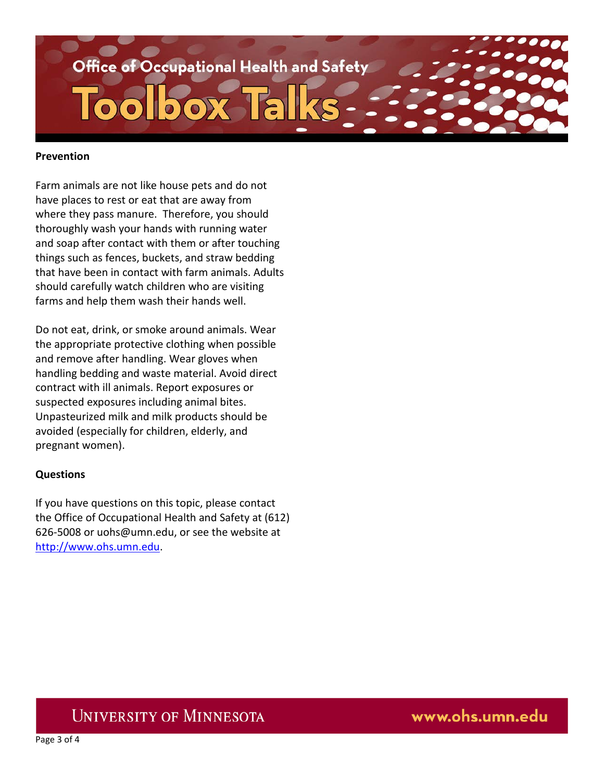

#### **Prevention**

Farm animals are not like house pets and do not have places to rest or eat that are away from where they pass manure. Therefore, you should thoroughly wash your hands with running water and soap after contact with them or after touching things such as fences, buckets, and straw bedding that have been in contact with farm animals. Adults should carefully watch children who are visiting farms and help them wash their hands well.

Do not eat, drink, or smoke around animals. Wear the appropriate protective clothing when possible and remove after handling. Wear gloves when handling bedding and waste material. Avoid direct contract with ill animals. Report exposures or suspected exposures including animal bites. Unpasteurized milk and milk products should be avoided (especially for children, elderly, and pregnant women).

### **Questions**

If you have questions on this topic, please contact the Office of Occupational Health and Safety at (612) 626-5008 or uohs@umn.edu, or see the website at [http://www.ohs.umn.edu.](http://www.ohs.umn.edu/)

### **UNIVERSITY OF MINNESOTA**

www.ohs.umn.edu